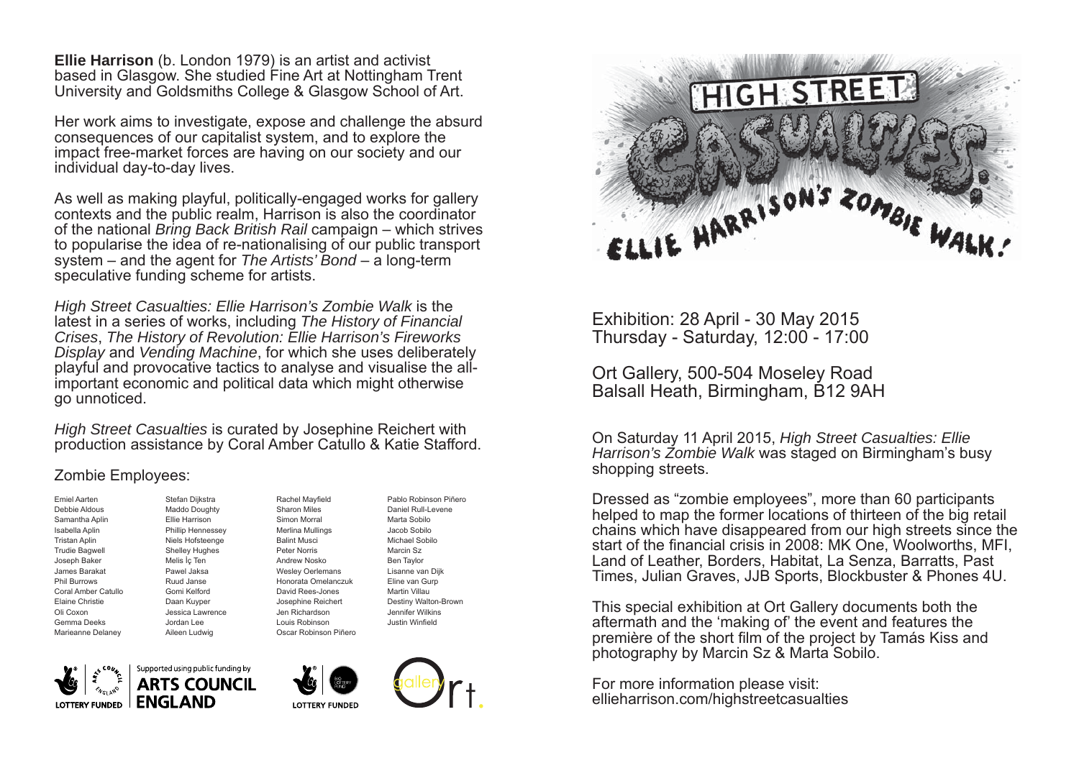**Ellie Harrison** (b. London 1979) is an artist and activist based in Glasgow. She studied Fine Art at Nottingham Trent University and Goldsmiths College & Glasgow School of Art.

Her work aims to investigate, expose and challenge the absurd consequences of our capitalist system, and to explore the impact free-market forces are having on our society and our individual day-to-day lives.

As well as making playful, politically-engaged works for gallery contexts and the public realm, Harrison is also the coordinator of the national *Bring Back British Rail* campaign – which strives to popularise the idea of re-nationalising of our public transport system – and the agent for *The Artists' Bond* – a long-term speculative funding scheme for artists.

*High Street Casualties: Ellie Harrison's Zombie Walk* is the latest in a series of works, including *The History of Financial Crises*, *The History of Revolution: Ellie Harrison's Fireworks Display* and *Vending Machine*, for which she uses deliberately playful and provocative tactics to analyse and visualise the allimportant economic and political data which might otherwise go unnoticed.

*High Street Casualties* is curated by Josephine Reichert with production assistance by Coral Amber Catullo & Katie Stafford.

## Zombie Employees:

Emiel AartenDebbie Aldous Samantha Aplin Isabella Aplin Tristan Aplin Trudie Bagwell Joseph Baker James Barakat Phil BurrowsCoral Amber CatulloElaine Christie Oli Coxon Gemma Deeks Marieanne Delaney

Stefan Dijkstra Maddo Doughty Ellie HarrisonPhillip Hennessey Niels Hofsteenge Shelley Hughes Melis İç Ten Pawel Jaksa Ruud JanseGomi KelfordDaan Kuyper Jessica Lawrence Aileen Ludwig Rachel Mayfield Balint Musci Peter Norris

Sharon Miles Simon Morral Merlina Mullings Andrew NoskoWesley Oerlemans Honorata OmelanczukDavid Rees-Jones Josephine Reichert Jen Richardson Louis Robinson Oscar Robinson Piñero

Pablo Robinson PiñeroDaniel Rull-Levene Marta SobiloJacob SobiloMichael SobiloMarcin Sz Ben Taylor Lisanne van Dijk Eline van Gurp Martin VillauDestiny Walton-Brown Jennifer Wilkins Justin Winfield



Jordan Lee







Exhibition: 28 April - 30 May 2015 Thursday - Saturday, 12:00 - 17:00

Ort Gallery, 500-504 Moseley Road Balsall Heath, Birmingham, B12 9AH

On Saturday 11 April 2015, *High Street Casualties: Ellie Harrison's Zombie Walk* was staged on Birmingham's busy shopping streets.

Dressed as "zombie employees", more than 60 participants helped to map the former locations of thirteen of the big retail chains which have disappeared from our high streets since the start of the financial crisis in 2008: MK One, Woolworths, MFI, Land of Leather, Borders, Habitat, La Senza, Barratts, Past Times, Julian Graves, JJB Sports, Blockbuster & Phones 4U.

This special exhibition at Ort Gallery documents both the aftermath and the 'making of' the event and features the première of the short film of the project by Tamás Kiss and photography by Marcin Sz & Marta Sobilo.

For more information please visit: ellieharrison.com/highstreetcasualties